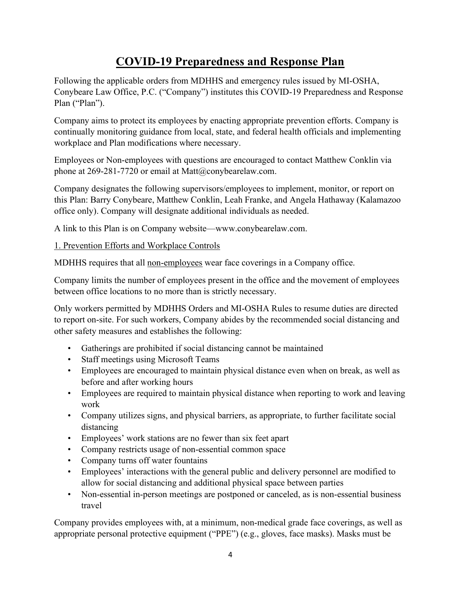# COVID-19 Preparedness and Response Plan

Following the applicable orders from MDHHS and emergency rules issued by MI-OSHA, Conybeare Law Office, P.C. ("Company") institutes this COVID-19 Preparedness and Response Plan ("Plan").

Company aims to protect its employees by enacting appropriate prevention efforts. Company is continually monitoring guidance from local, state, and federal health officials and implementing workplace and Plan modifications where necessary.

Employees or Non-employees with questions are encouraged to contact Matthew Conklin via phone at 269-281-7720 or email at Matt@conybearelaw.com.

Company designates the following supervisors/employees to implement, monitor, or report on this Plan: Barry Conybeare, Matthew Conklin, Leah Franke, and Angela Hathaway (Kalamazoo office only). Company will designate additional individuals as needed.

A link to this Plan is on Company website—www.conybearelaw.com.

### 1. Prevention Efforts and Workplace Controls

MDHHS requires that all non-employees wear face coverings in a Company office.

Company limits the number of employees present in the office and the movement of employees between office locations to no more than is strictly necessary.

Only workers permitted by MDHHS Orders and MI-OSHA Rules to resume duties are directed to report on-site. For such workers, Company abides by the recommended social distancing and other safety measures and establishes the following:

- Gatherings are prohibited if social distancing cannot be maintained
- Staff meetings using Microsoft Teams
- Employees are encouraged to maintain physical distance even when on break, as well as before and after working hours
- Employees are required to maintain physical distance when reporting to work and leaving work
- Company utilizes signs, and physical barriers, as appropriate, to further facilitate social distancing
- Employees' work stations are no fewer than six feet apart
- Company restricts usage of non-essential common space
- Company turns off water fountains
- Employees' interactions with the general public and delivery personnel are modified to allow for social distancing and additional physical space between parties
- Non-essential in-person meetings are postponed or canceled, as is non-essential business travel

Company provides employees with, at a minimum, non-medical grade face coverings, as well as appropriate personal protective equipment ("PPE") (e.g., gloves, face masks). Masks must be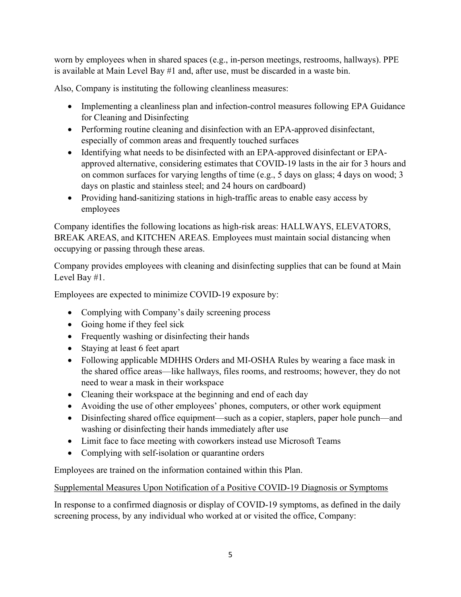worn by employees when in shared spaces (e.g., in-person meetings, restrooms, hallways). PPE is available at Main Level Bay #1 and, after use, must be discarded in a waste bin.

Also, Company is instituting the following cleanliness measures:

- Implementing a cleanliness plan and infection-control measures following EPA Guidance for Cleaning and Disinfecting
- Performing routine cleaning and disinfection with an EPA-approved disinfectant, especially of common areas and frequently touched surfaces
- Identifying what needs to be disinfected with an EPA-approved disinfectant or EPAapproved alternative, considering estimates that COVID-19 lasts in the air for 3 hours and on common surfaces for varying lengths of time (e.g., 5 days on glass; 4 days on wood; 3 days on plastic and stainless steel; and 24 hours on cardboard)
- Providing hand-sanitizing stations in high-traffic areas to enable easy access by employees

Company identifies the following locations as high-risk areas: HALLWAYS, ELEVATORS, BREAK AREAS, and KITCHEN AREAS. Employees must maintain social distancing when occupying or passing through these areas.

Company provides employees with cleaning and disinfecting supplies that can be found at Main Level Bay #1.

Employees are expected to minimize COVID-19 exposure by:

- Complying with Company's daily screening process
- Going home if they feel sick
- Frequently washing or disinfecting their hands
- Staying at least 6 feet apart
- Following applicable MDHHS Orders and MI-OSHA Rules by wearing a face mask in the shared office areas—like hallways, files rooms, and restrooms; however, they do not need to wear a mask in their workspace
- Cleaning their workspace at the beginning and end of each day
- Avoiding the use of other employees' phones, computers, or other work equipment
- Disinfecting shared office equipment—such as a copier, staplers, paper hole punch—and washing or disinfecting their hands immediately after use
- Limit face to face meeting with coworkers instead use Microsoft Teams
- Complying with self-isolation or quarantine orders

Employees are trained on the information contained within this Plan.

## Supplemental Measures Upon Notification of a Positive COVID-19 Diagnosis or Symptoms

In response to a confirmed diagnosis or display of COVID-19 symptoms, as defined in the daily screening process, by any individual who worked at or visited the office, Company: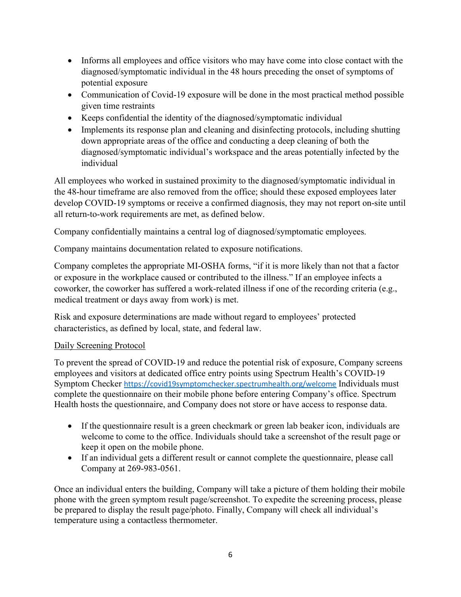- Informs all employees and office visitors who may have come into close contact with the diagnosed/symptomatic individual in the 48 hours preceding the onset of symptoms of potential exposure
- Communication of Covid-19 exposure will be done in the most practical method possible given time restraints
- Keeps confidential the identity of the diagnosed/symptomatic individual
- Implements its response plan and cleaning and disinfecting protocols, including shutting down appropriate areas of the office and conducting a deep cleaning of both the diagnosed/symptomatic individual's workspace and the areas potentially infected by the individual

All employees who worked in sustained proximity to the diagnosed/symptomatic individual in the 48-hour timeframe are also removed from the office; should these exposed employees later develop COVID-19 symptoms or receive a confirmed diagnosis, they may not report on-site until all return-to-work requirements are met, as defined below.

Company confidentially maintains a central log of diagnosed/symptomatic employees.

Company maintains documentation related to exposure notifications.

Company completes the appropriate MI-OSHA forms, "if it is more likely than not that a factor or exposure in the workplace caused or contributed to the illness." If an employee infects a coworker, the coworker has suffered a work-related illness if one of the recording criteria (e.g., medical treatment or days away from work) is met.

Risk and exposure determinations are made without regard to employees' protected characteristics, as defined by local, state, and federal law.

#### Daily Screening Protocol

To prevent the spread of COVID-19 and reduce the potential risk of exposure, Company screens employees and visitors at dedicated office entry points using Spectrum Health's COVID-19 Symptom Checker https://covid19symptomchecker.spectrumhealth.org/welcome Individuals must complete the questionnaire on their mobile phone before entering Company's office. Spectrum Health hosts the questionnaire, and Company does not store or have access to response data.

- If the questionnaire result is a green checkmark or green lab beaker icon, individuals are welcome to come to the office. Individuals should take a screenshot of the result page or keep it open on the mobile phone.
- If an individual gets a different result or cannot complete the questionnaire, please call Company at 269-983-0561.

Once an individual enters the building, Company will take a picture of them holding their mobile phone with the green symptom result page/screenshot. To expedite the screening process, please be prepared to display the result page/photo. Finally, Company will check all individual's temperature using a contactless thermometer.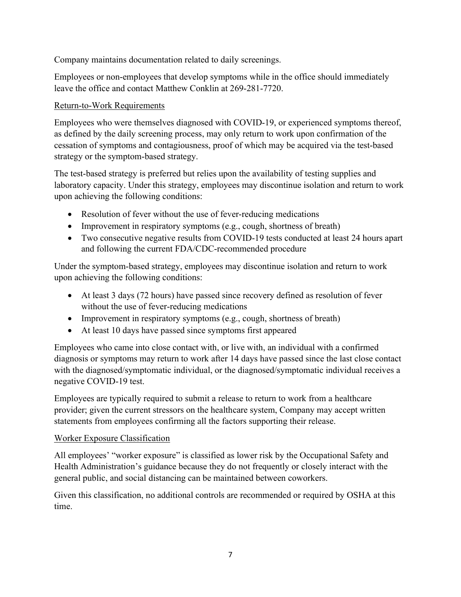Company maintains documentation related to daily screenings.

Employees or non-employees that develop symptoms while in the office should immediately leave the office and contact Matthew Conklin at 269-281-7720.

## Return-to-Work Requirements

Employees who were themselves diagnosed with COVID-19, or experienced symptoms thereof, as defined by the daily screening process, may only return to work upon confirmation of the cessation of symptoms and contagiousness, proof of which may be acquired via the test-based strategy or the symptom-based strategy.

The test-based strategy is preferred but relies upon the availability of testing supplies and laboratory capacity. Under this strategy, employees may discontinue isolation and return to work upon achieving the following conditions:

- Resolution of fever without the use of fever-reducing medications
- Improvement in respiratory symptoms (e.g., cough, shortness of breath)
- Two consecutive negative results from COVID-19 tests conducted at least 24 hours apart and following the current FDA/CDC-recommended procedure

Under the symptom-based strategy, employees may discontinue isolation and return to work upon achieving the following conditions:

- At least 3 days (72 hours) have passed since recovery defined as resolution of fever without the use of fever-reducing medications
- Improvement in respiratory symptoms (e.g., cough, shortness of breath)
- At least 10 days have passed since symptoms first appeared

Employees who came into close contact with, or live with, an individual with a confirmed diagnosis or symptoms may return to work after 14 days have passed since the last close contact with the diagnosed/symptomatic individual, or the diagnosed/symptomatic individual receives a negative COVID-19 test.

Employees are typically required to submit a release to return to work from a healthcare provider; given the current stressors on the healthcare system, Company may accept written statements from employees confirming all the factors supporting their release.

#### Worker Exposure Classification

All employees' "worker exposure" is classified as lower risk by the Occupational Safety and Health Administration's guidance because they do not frequently or closely interact with the general public, and social distancing can be maintained between coworkers.

Given this classification, no additional controls are recommended or required by OSHA at this time.